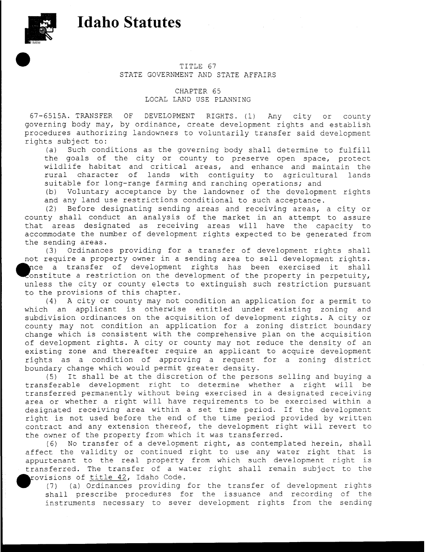## **Idaho Statutes**



## TITLE 67 STATE GOVERNMENT AND STATE AFFAIRS

CHAPTER 65 LOCAL LAND USE PLANNING

67-6515A. TRANSFER OF DEVELOPMENT RIGHTS. (1) Any city or county governing body may, by ordinance, create development rights and establish procedures authorizing landowners to voluntarily transfer said development rights subject to:

(a) Such conditions as the governing body shall determine to fulfill the goals of the city or county to preserve open space, protect wildlife habitat and critical areas, and enhance and maintain the rural character of lands with contiguity to agricultural lands suitable for long-range farming and ranching operations; and

(b) Voluntary acceptance by the landowner of the development rights and any land use restrictions conditional to such acceptance.

(2) Before designating sending areas and receiving areas, a city or county shall conduct an analysis of the market in an attempt to assure that areas designated as receiving areas will have the capacity to accommodate the number of development rights expected to be generated from the sending areas.

(3) Ordinances providing for a transfer of development rights shall not require a property owner in a sending area to sell development rights. nce a transfer of development rights has been exercised it shall constitute a restriction on the development of the property in perpetuity, unless the city or county elects to extinguish such restriction pursuant to the provisions of this chapter.

(4) A city or county may not condition an application for a permit to which an applicant is otherwise entitled under existing zoning and subdivision ordinances on the acquisition of development rights. A city or county may not condition an application for a zoning district boundary change which is consistent with the comprehensive plan on the acquisition of development rights. A city or county may not reduce the density of an existing zone and thereafter require an applicant to acquire development rights as a condition of approving a request for a zoning district boundary change which would permit greater density.

(5) It shall be at the discretion of the persons selling and buying a transferable development right to determine whether a right will be transferred permanently without being exercised in a designated receiving area or whether a right will have requirements to be exercised within a designated receiving area within a set time period. If the development right is not used before the end of the time period provided by written contract and any extension thereof, the development right will revert to the owner of the property from which it was transferred.

(6) No transfer of a development right, as contemplated herein, shall affect the validity or continued right to use any water right that is appurtenant to the real property from which such development right is transferred. The transfer of a water right shall remain subject to the rovisions of title 42, Idaho Code.

(7) (a) Ordinances providing for the transfer of development rights shall prescribe procedures for the issuance and recording of the instruments necessary to sever development rights from the sending